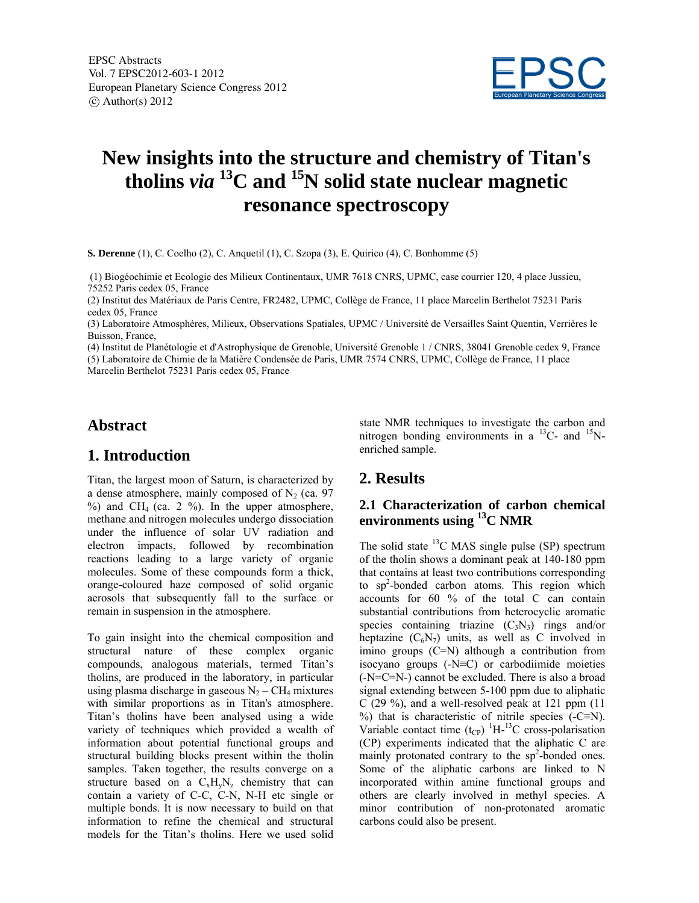

# **New insights into the structure and chemistry of Titan's tholins** *via* **13C and 15N solid state nuclear magnetic resonance spectroscopy**

**S. Derenne** (1), C. Coelho (2), C. Anquetil (1), C. Szopa (3), E. Quirico (4), C. Bonhomme (5)

 (1) Biogéochimie et Ecologie des Milieux Continentaux, UMR 7618 CNRS, UPMC, case courrier 120, 4 place Jussieu, 75252 Paris cedex 05, France

(2) Institut des Matériaux de Paris Centre, FR2482, UPMC, Collège de France, 11 place Marcelin Berthelot 75231 Paris cedex 05, France

(3) Laboratoire Atmosphères, Milieux, Observations Spatiales, UPMC / Université de Versailles Saint Quentin, Verrières le Buisson, France,

(4) Institut de Planétologie et d'Astrophysique de Grenoble, Université Grenoble 1 / CNRS, 38041 Grenoble cedex 9, France (5) Laboratoire de Chimie de la Matière Condensée de Paris, UMR 7574 CNRS, UPMC, Collège de France, 11 place Marcelin Berthelot 75231 Paris cedex 05, France

## **Abstract**

## **1. Introduction**

Titan, the largest moon of Saturn, is characterized by a dense atmosphere, mainly composed of  $N_2$  (ca. 97)  $\%$ ) and CH<sub>4</sub> (ca. 2  $\%$ ). In the upper atmosphere, methane and nitrogen molecules undergo dissociation under the influence of solar UV radiation and electron impacts, followed by recombination reactions leading to a large variety of organic molecules. Some of these compounds form a thick, orange-coloured haze composed of solid organic aerosols that subsequently fall to the surface or remain in suspension in the atmosphere.

To gain insight into the chemical composition and structural nature of these complex organic compounds, analogous materials, termed Titan's tholins, are produced in the laboratory, in particular using plasma discharge in gaseous  $N_2 - CH_4$  mixtures with similar proportions as in Titan's atmosphere. Titan's tholins have been analysed using a wide variety of techniques which provided a wealth of information about potential functional groups and structural building blocks present within the tholin samples. Taken together, the results converge on a structure based on a  $C_xH_vN_z$  chemistry that can contain a variety of C-C, C-N, N-H etc single or multiple bonds. It is now necessary to build on that information to refine the chemical and structural models for the Titan's tholins. Here we used solid

state NMR techniques to investigate the carbon and nitrogen bonding environments in a  $^{13}$ C- and  $^{15}$ Nenriched sample.

## **2. Results**

#### **2.1 Characterization of carbon chemical environments using 13C NMR**

The solid state  ${}^{13}$ C MAS single pulse (SP) spectrum of the tholin shows a dominant peak at 140-180 ppm that contains at least two contributions corresponding to sp<sup>2</sup>-bonded carbon atoms. This region which accounts for 60 % of the total C can contain substantial contributions from heterocyclic aromatic species containing triazine  $(C_3N_3)$  rings and/or heptazine  $(C_6N_7)$  units, as well as C involved in imino groups (C=N) although a contribution from isocyano groups (-N≡C) or carbodiimide moieties (-N=C=N-) cannot be excluded. There is also a broad signal extending between 5-100 ppm due to aliphatic  $C(29\%)$ , and a well-resolved peak at 121 ppm (11) %) that is characteristic of nitrile species  $(-C \equiv N)$ . Variable contact time  $(t_{CP})$  <sup>1</sup>H<sup>-13</sup>C cross-polarisation (CP) experiments indicated that the aliphatic C are mainly protonated contrary to the  $sp<sup>2</sup>$ -bonded ones. Some of the aliphatic carbons are linked to N incorporated within amine functional groups and others are clearly involved in methyl species. A minor contribution of non-protonated aromatic carbons could also be present.